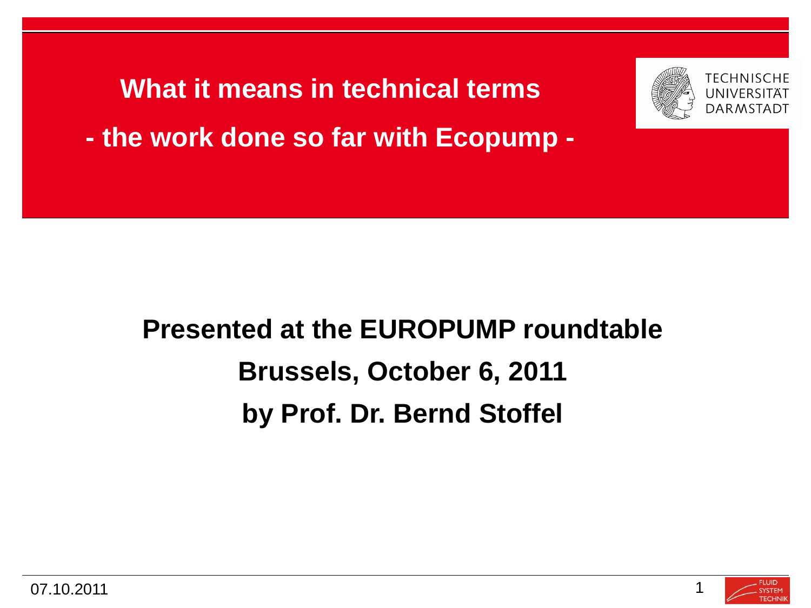**What it means in technical terms - the work done so far with Ecopump -**



### **Presented at the EUROPUMP roundtable Brussels, October 6, 2011 by Prof. Dr. Bernd Stoffel**

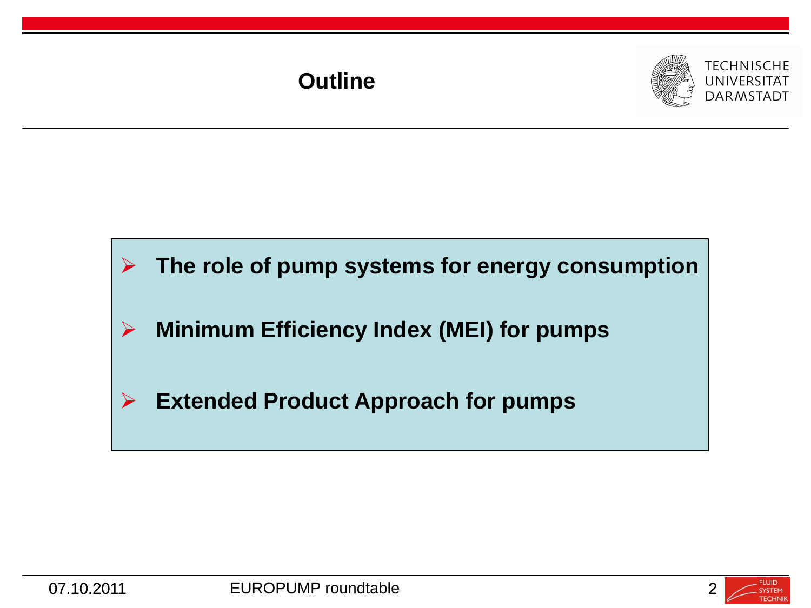#### **Outline**





#### **The role of pump systems for energy consumption**

- **Minimum Efficiency Index (MEI) for pumps**
- **Extended Product Approach for pumps**



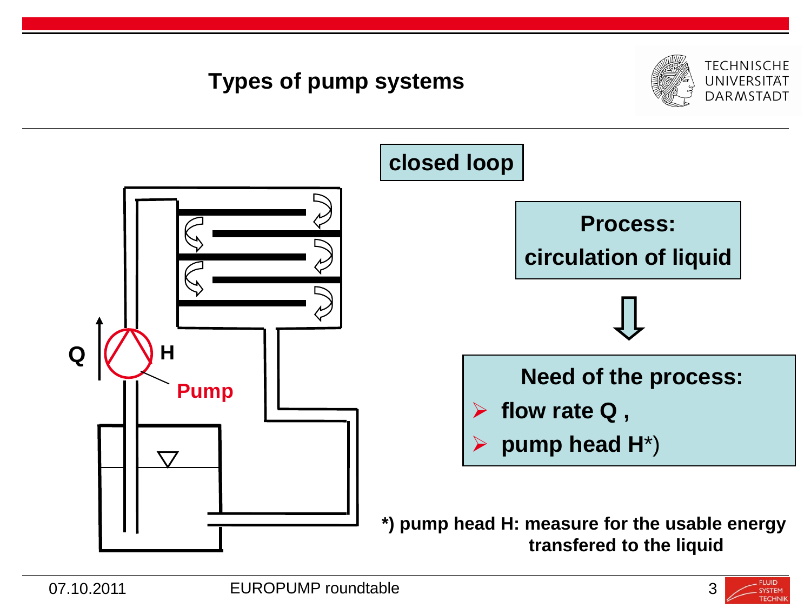

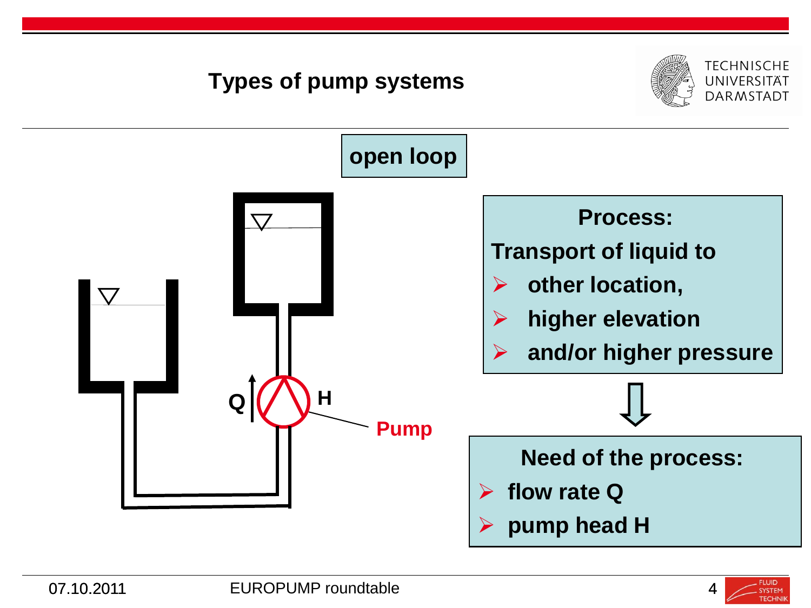

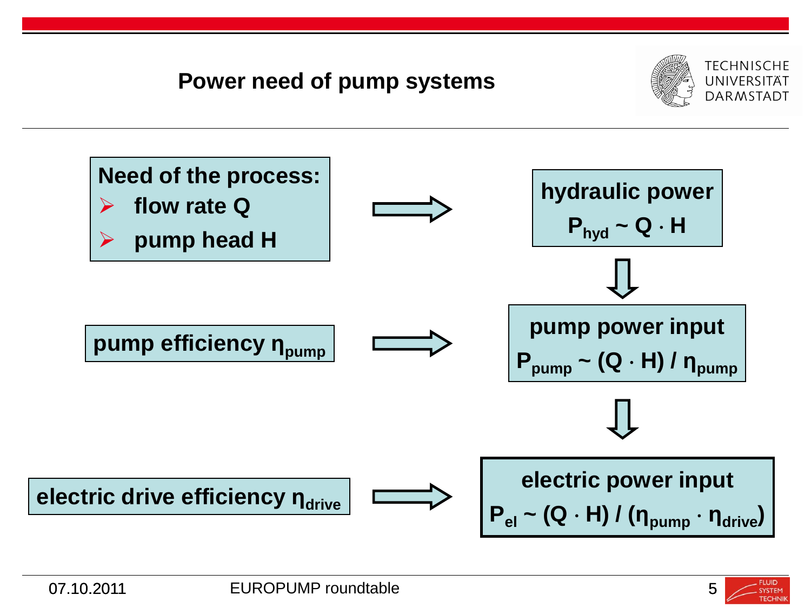#### **Power need of pump systems**





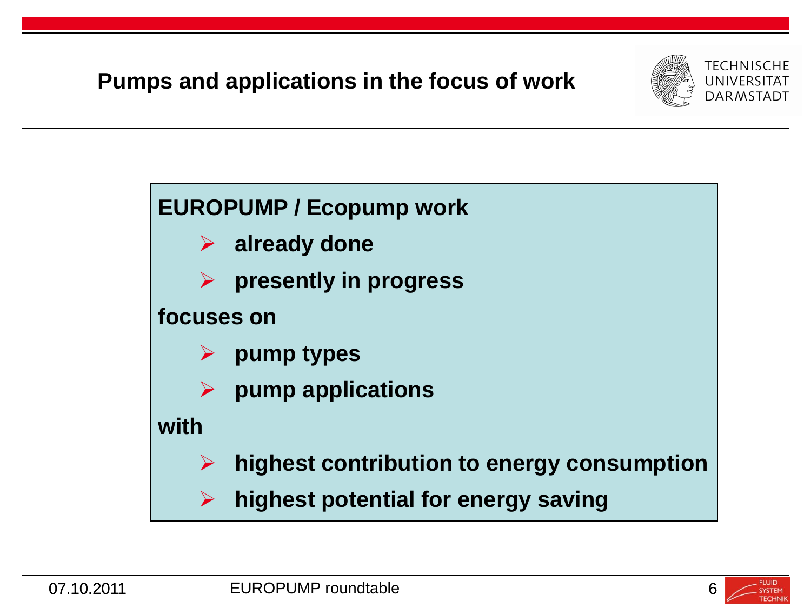#### **Pumps and applications in the focus of work**



## **EUROPUMP / Ecopump work already done presently in progress focuses on pump types pump applications with**

- **highest contribution to energy consumption**
- **highest potential for energy saving**

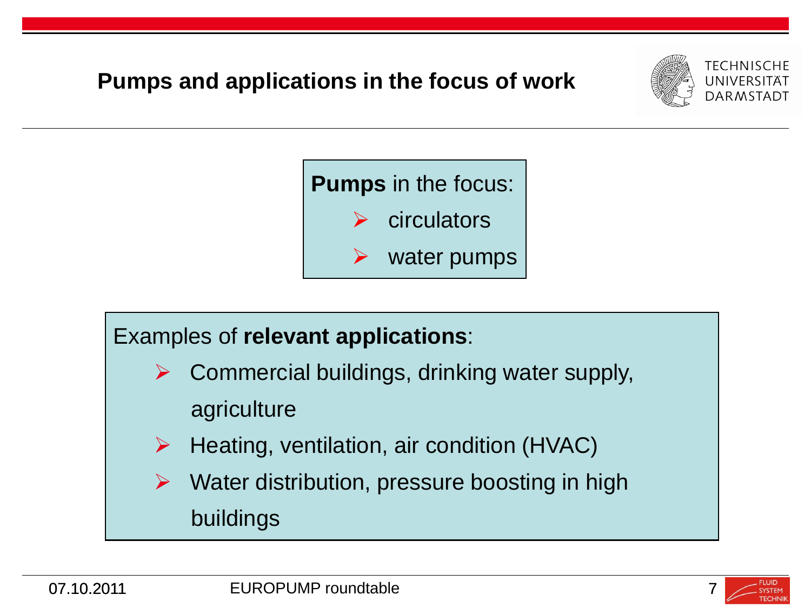







 $\triangleright$  Water distribution, pressure boosting in high buildings

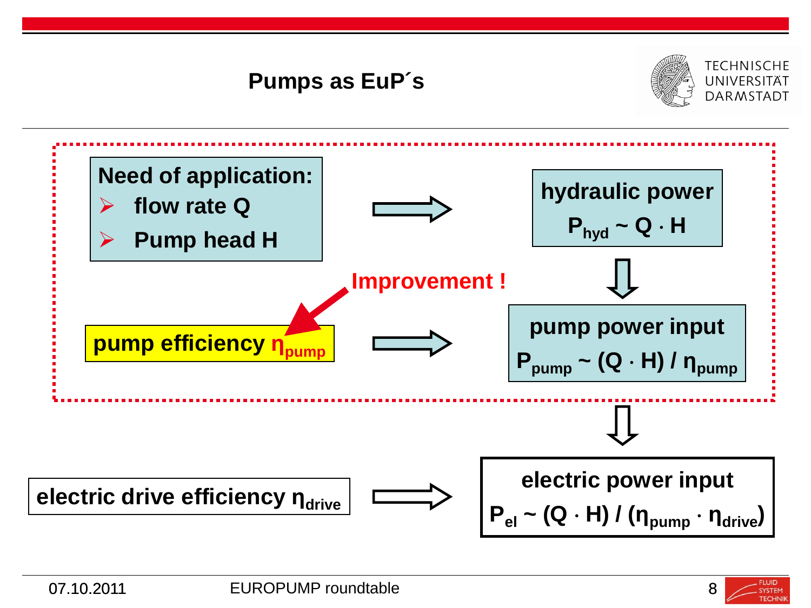

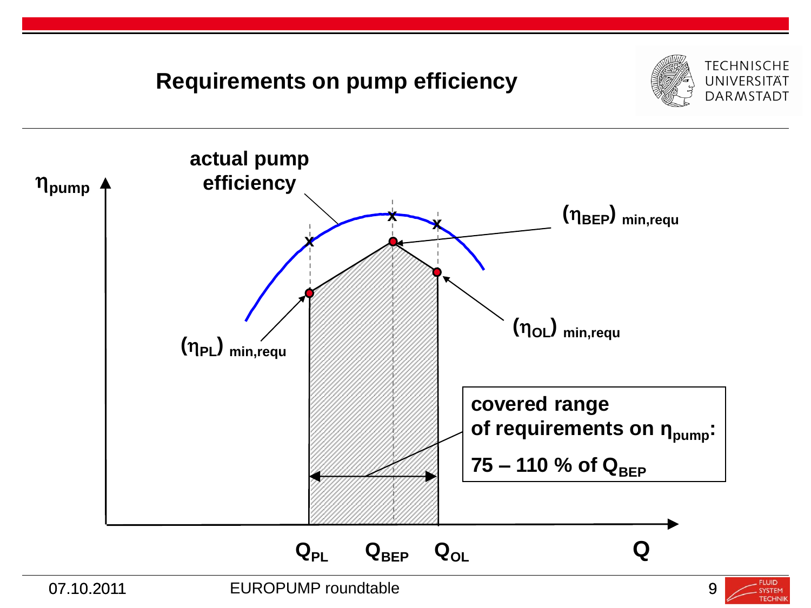#### **TECHNISCHE Requirements on pump efficiency** UNIVERSITÄT **DARMSTADT actual pump efficiency pump (BEP) min,requ x x x (OL) min,requ (PL) min,requ covered range of requirements on ηpump:** 75 – 110 % of Q<sub>BEP</sub> **QPL QBEP QOL Q**

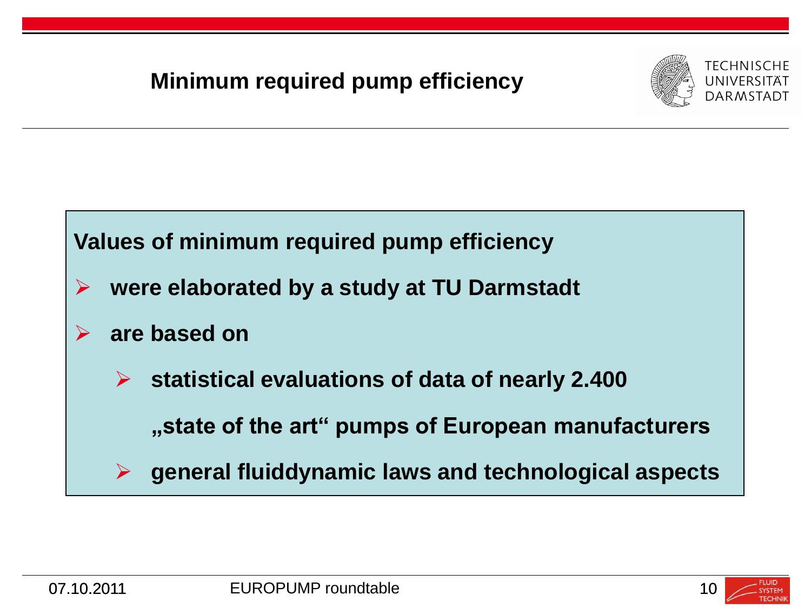#### **Minimum required pump efficiency**





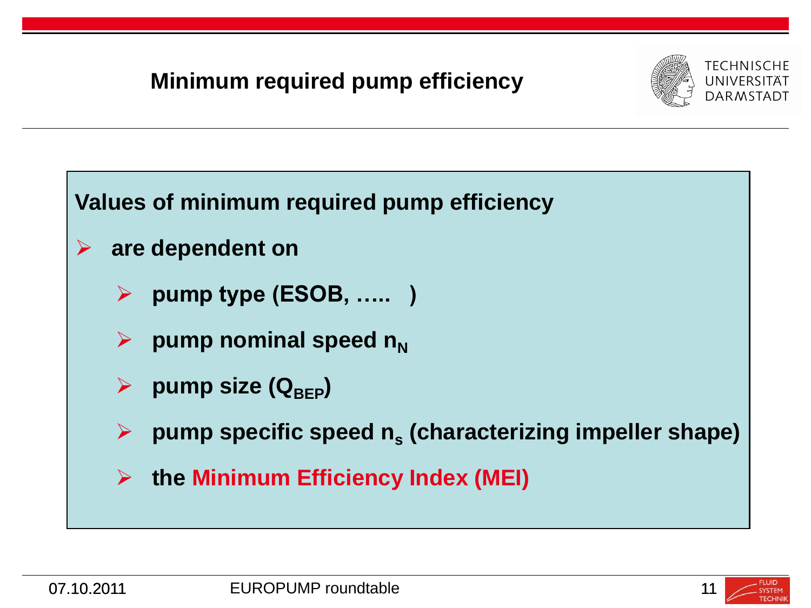#### **Minimum required pump efficiency**





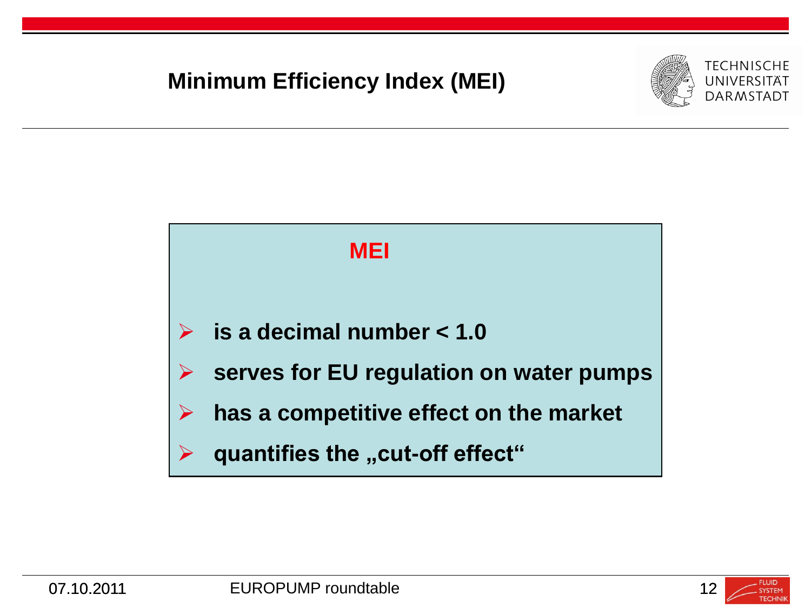#### **Minimum Efficiency Index (MEI)**





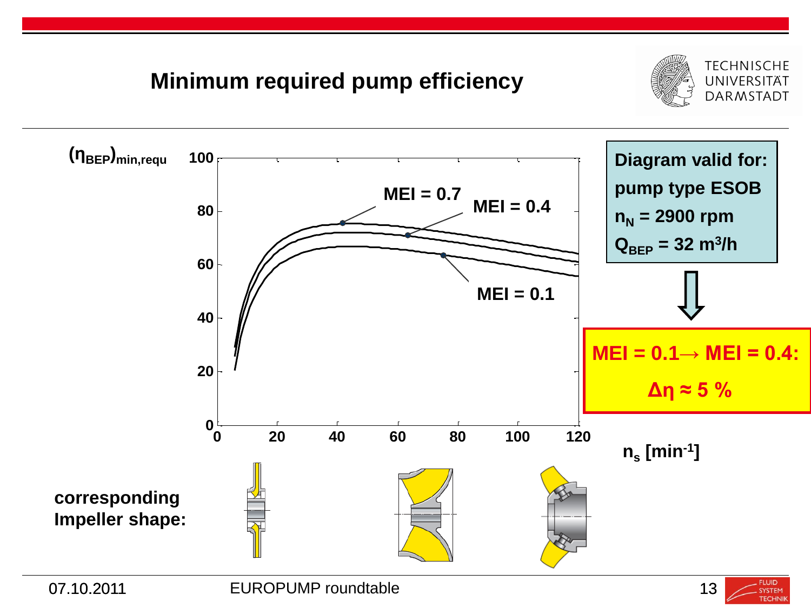

#### **Minimum required pump efficiency**



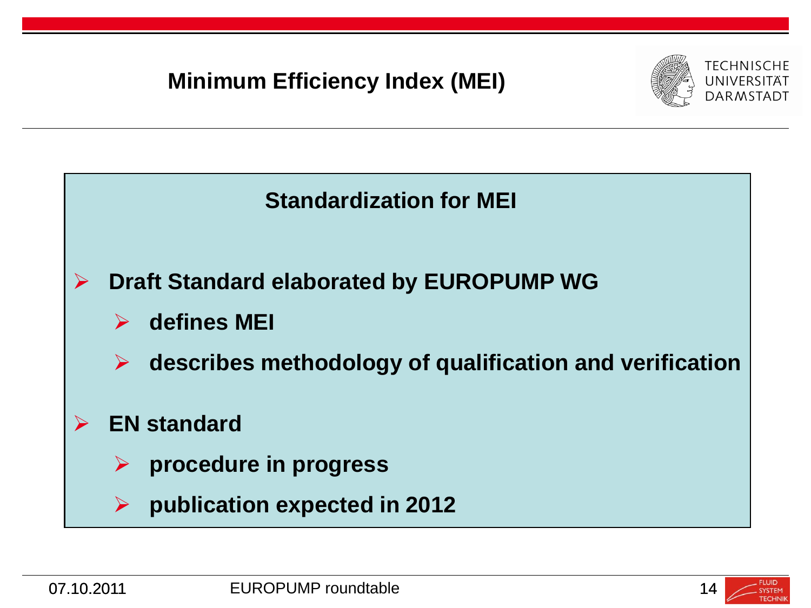#### **Minimum Efficiency Index (MEI)**





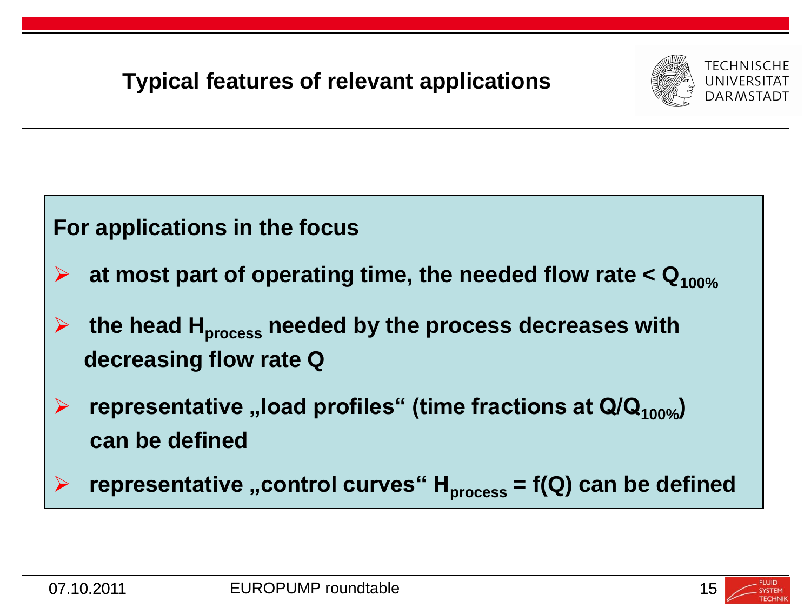#### **Typical features of relevant applications**



## **For applications in the focus at most part of operating time, the needed flow rate < Q100% the head Hprocess needed by the process decreases with decreasing flow rate Q ►** representative "load profiles" (time fractions at Q/Q<sub>100%</sub>)  **can be defined** representative "control curves" H<sub>process</sub> = f(Q) can be defined

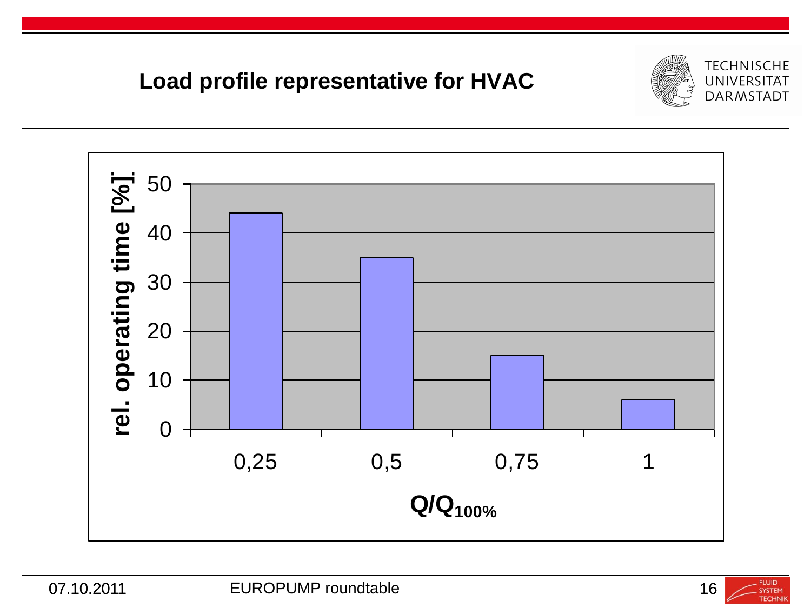





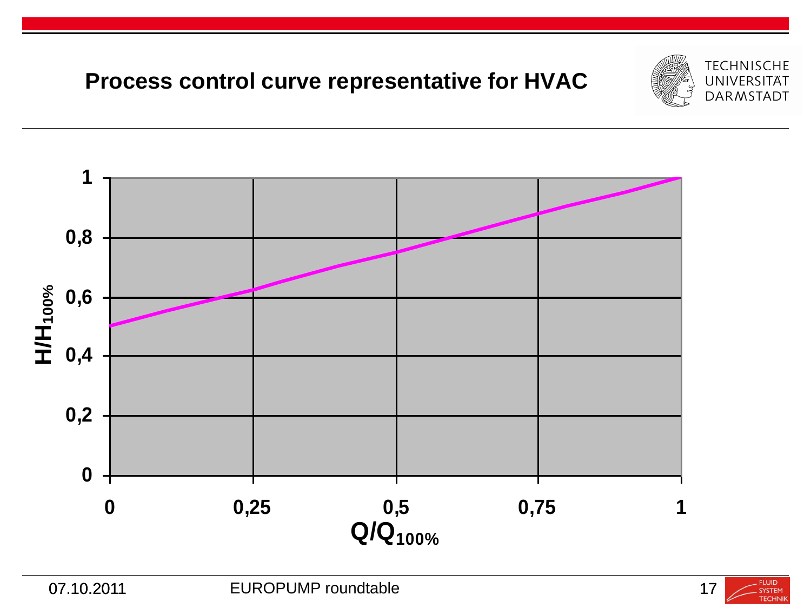#### **Process control curve representative for HVAC**





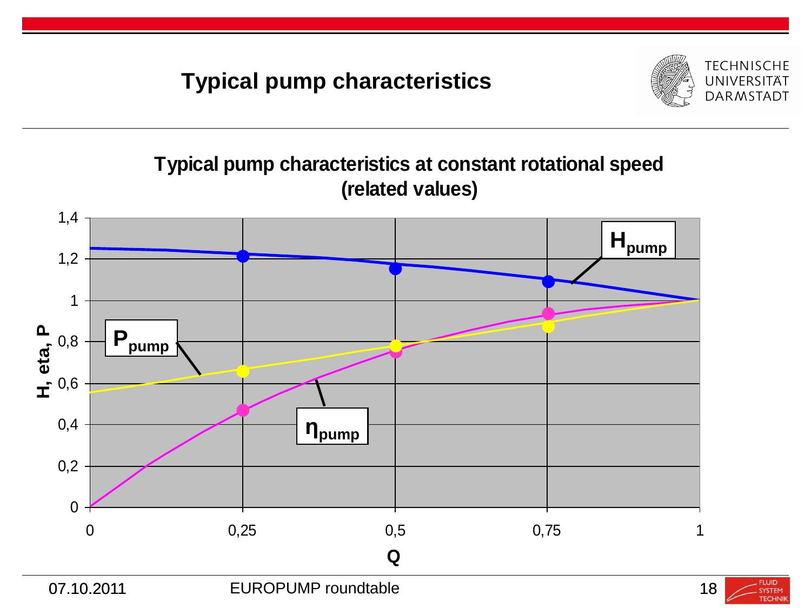#### **Typical pump characteristics**



#### **Typical pump characteristics at constant rotational speed (related values)**



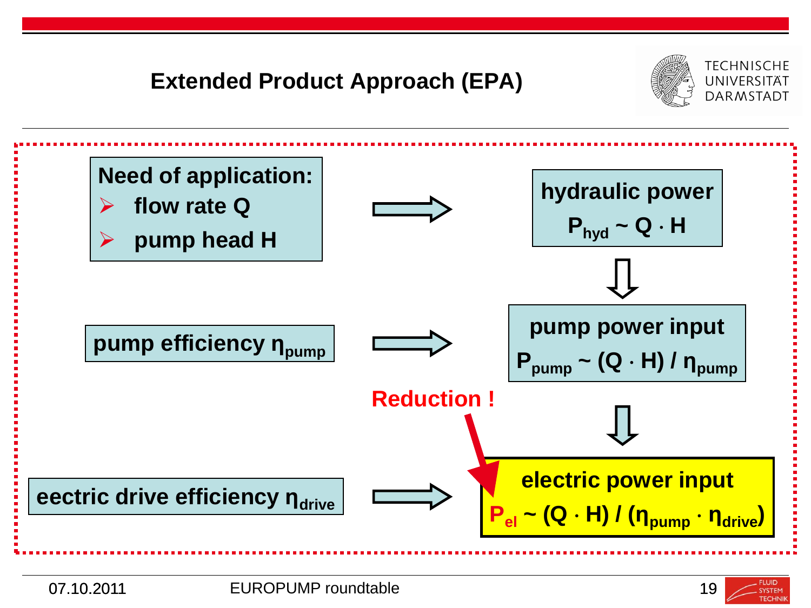

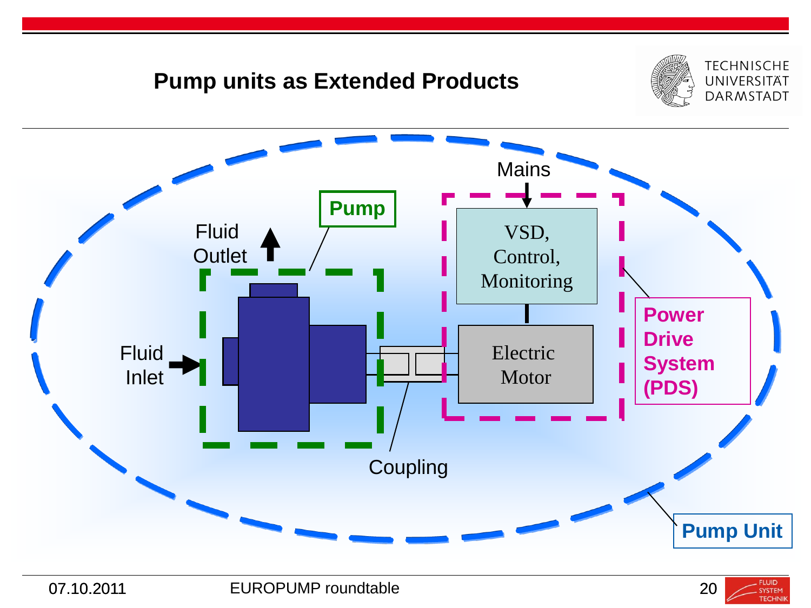#### **Pump units as Extended Products**





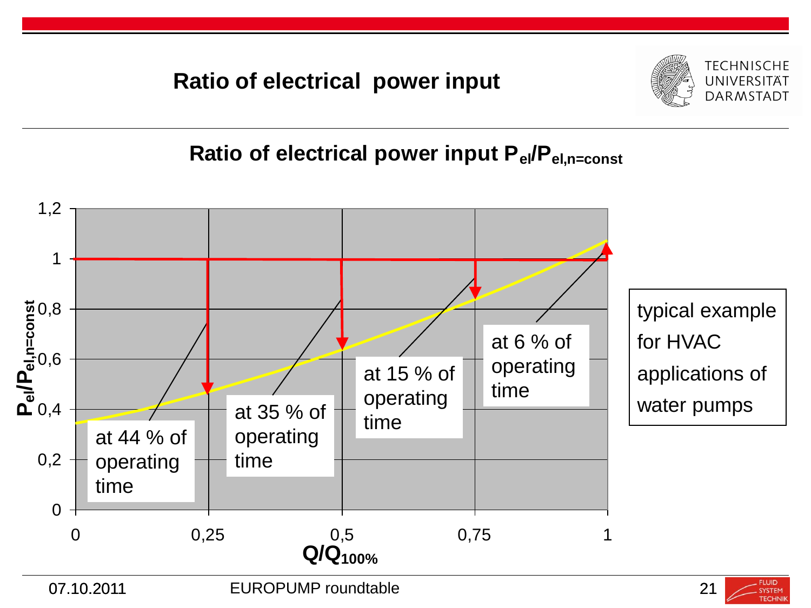**Ratio of electrical power input**



**Ratio of electrical power input Pel/Pel,n=const**





**SYSTEM TECHNI**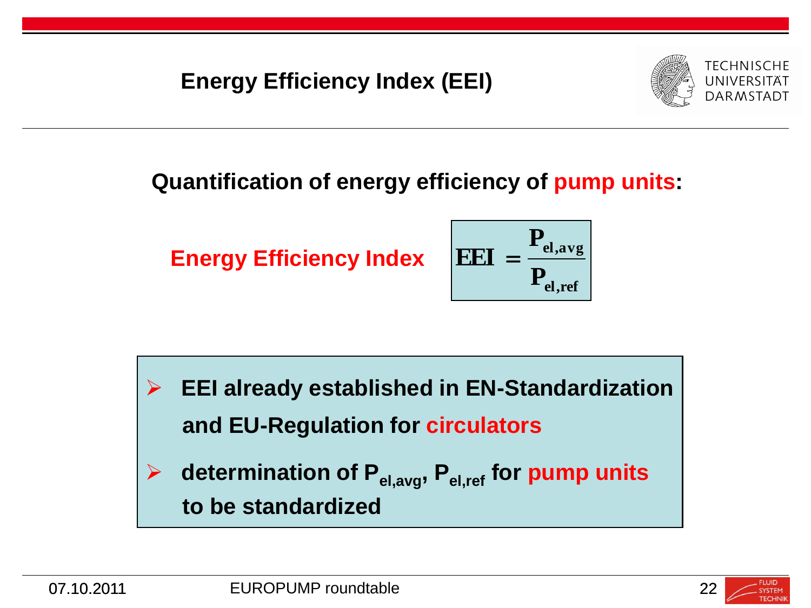**Energy Efficiency Index (EEI)**



#### **Quantification of energy efficiency of pump units:**

**Energy Efficiency Index**

$$
EEI = \frac{P_{el,avg}}{P_{el,ref}}
$$

 **EEI already established in EN-Standardization and EU-Regulation for circulators determination of Pel,avg, Pel,ref for pump units**

 **to be standardized**

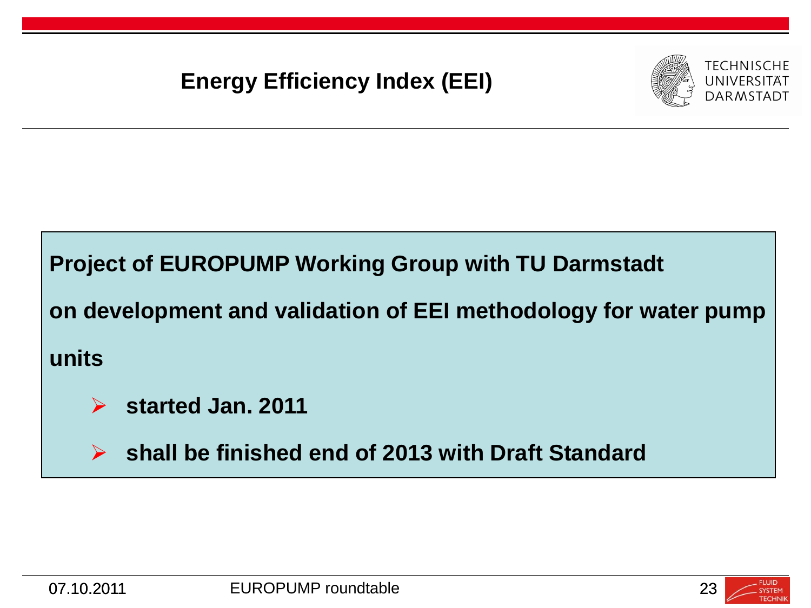#### **Energy Efficiency Index (EEI)**



#### **Project of EUROPUMP Working Group with TU Darmstadt**

**on development and validation of EEI methodology for water pump**

**units**



 **shall be finished end of 2013 with Draft Standard**